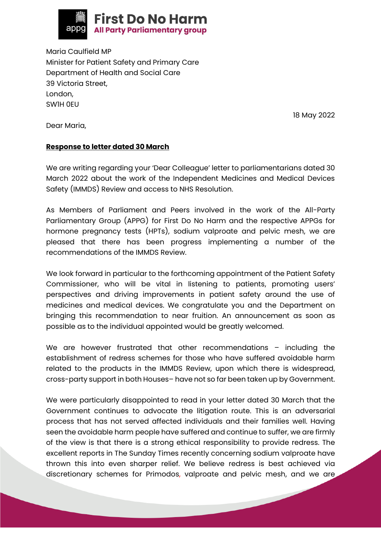

Maria Caulfield MP Minister for Patient Safety and Primary Care Department of Health and Social Care 39 Victoria Street, London, SW1H 0EU

18 May 2022

Dear Maria,

## **Response to letter dated 30 March**

We are writing regarding your 'Dear Colleague' letter to parliamentarians dated 30 March 2022 about the work of the Independent Medicines and Medical Devices Safety (IMMDS) Review and access to NHS Resolution.

As Members of Parliament and Peers involved in the work of the All-Party Parliamentary Group (APPG) for First Do No Harm and the respective APPGs for hormone pregnancy tests (HPTs), sodium valproate and pelvic mesh, we are pleased that there has been progress implementing a number of the recommendations of the IMMDS Review.

We look forward in particular to the forthcoming appointment of the Patient Safety Commissioner, who will be vital in listening to patients, promoting users' perspectives and driving improvements in patient safety around the use of medicines and medical devices. We congratulate you and the Department on bringing this recommendation to near fruition. An announcement as soon as possible as to the individual appointed would be greatly welcomed.

We are however frustrated that other recommendations - including the establishment of redress schemes for those who have suffered avoidable harm related to the products in the IMMDS Review, upon which there is widespread, cross-party support in both Houses– have not so far been taken up by Government.

We were particularly disappointed to read in your letter dated 30 March that the Government continues to advocate the litigation route. This is an adversarial process that has not served affected individuals and their families well. Having seen the avoidable harm people have suffered and continue to suffer, we are firmly of the view is that there is a strong ethical responsibility to provide redress. The excellent reports in The Sunday Times recently concerning sodium valproate have thrown this into even sharper relief. We believe redress is best achieved via discretionary schemes for Primodos, valproate and pelvic mesh, and we are